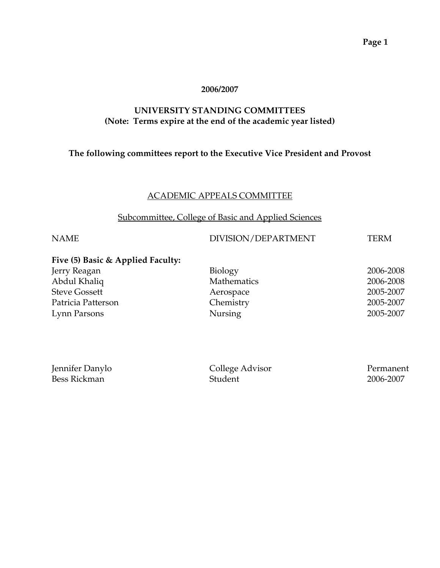### **2006/2007**

### **UNIVERSITY STANDING COMMITTEES (Note: Terms expire at the end of the academic year listed)**

### **The following committees report to the Executive Vice President and Provost**

### ACADEMIC APPEALS COMMITTEE

### Subcommittee, College of Basic and Applied Sciences

### NAME DIVISION/DEPARTMENT TERM

### **Five (5) Basic & Applied Faculty:**  Jerry Reagan Abdul Khaliq

**Steve Gossett** Patricia Patterson Lynn Parsons

| Biology     | 2006-2008 |
|-------------|-----------|
| Mathematics | 2006-2008 |
| Aerospace   | 2005-2007 |
| Chemistry   | 2005-2007 |
| Nursing     | 2005-2007 |
|             |           |

| Jennifer Danylo | College Advisor | Permanent |
|-----------------|-----------------|-----------|
| Bess Rickman    | Student         | 2006-2007 |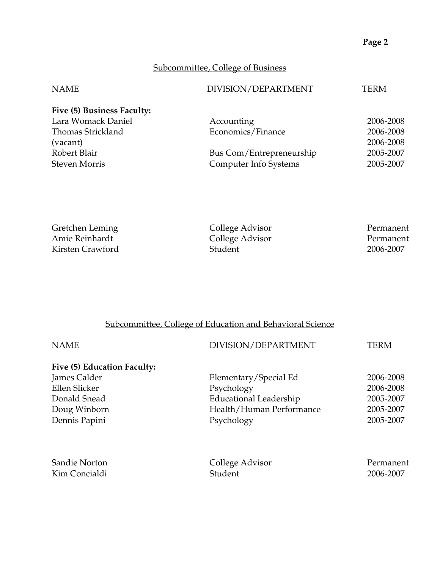# Subcommittee, College of Business

| DIVISION/DEPARTMENT      | TERM      |
|--------------------------|-----------|
|                          |           |
| Accounting               | 2006-2008 |
| Economics/Finance        | 2006-2008 |
|                          | 2006-2008 |
| Bus Com/Entrepreneurship | 2005-2007 |
| Computer Info Systems    | 2005-2007 |
|                          |           |

| Gretchen Leming  | College Advisor | Permanent |
|------------------|-----------------|-----------|
| Amie Reinhardt   | College Advisor | Permanent |
| Kirsten Crawford | <b>Student</b>  | 2006-2007 |

# Subcommittee, College of Education and Behavioral Science

| <b>NAME</b>                 | DIVISION/DEPARTMENT      | <b>TERM</b> |
|-----------------------------|--------------------------|-------------|
| Five (5) Education Faculty: |                          |             |
| James Calder                | Elementary/Special Ed    | 2006-2008   |
| Ellen Slicker               | Psychology               | 2006-2008   |
| Donald Snead                | Educational Leadership   | 2005-2007   |
| Doug Winborn                | Health/Human Performance | 2005-2007   |
| Dennis Papini               | Psychology               | 2005-2007   |
|                             |                          |             |
| Sandie Norton               | College Advisor          | Permanent   |
| Kim Concialdi               | Student                  | 2006-2007   |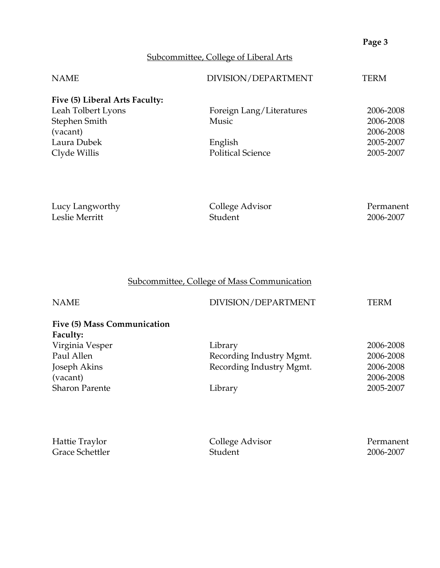# Subcommittee, College of Liberal Arts

| <b>NAME</b>                    | DIVISION/DEPARTMENT      | TERM      |
|--------------------------------|--------------------------|-----------|
| Five (5) Liberal Arts Faculty: |                          |           |
| Leah Tolbert Lyons             | Foreign Lang/Literatures | 2006-2008 |
| Stephen Smith                  | <b>Music</b>             | 2006-2008 |
| (vacant)                       |                          | 2006-2008 |
| Laura Dubek                    | English                  | 2005-2007 |
| Clyde Willis                   | <b>Political Science</b> | 2005-2007 |

| Lucy Langworthy | College Advisor | Permanent |
|-----------------|-----------------|-----------|
| Leslie Merritt  | Student         | 2006-2007 |

# Subcommittee, College of Mass Communication

| <b>NAME</b>                             | DIVISION/DEPARTMENT      | TERM      |
|-----------------------------------------|--------------------------|-----------|
| Five (5) Mass Communication<br>Faculty: |                          |           |
| Virginia Vesper                         | Library                  | 2006-2008 |
| Paul Allen                              | Recording Industry Mgmt. | 2006-2008 |
| Joseph Akins                            | Recording Industry Mgmt. | 2006-2008 |
| (vacant)                                |                          | 2006-2008 |
| <b>Sharon Parente</b>                   | Library                  | 2005-2007 |
|                                         |                          |           |

| Hattie Traylor         | College Advisor | Permanent |
|------------------------|-----------------|-----------|
| <b>Grace Schettler</b> | Student         | 2006-2007 |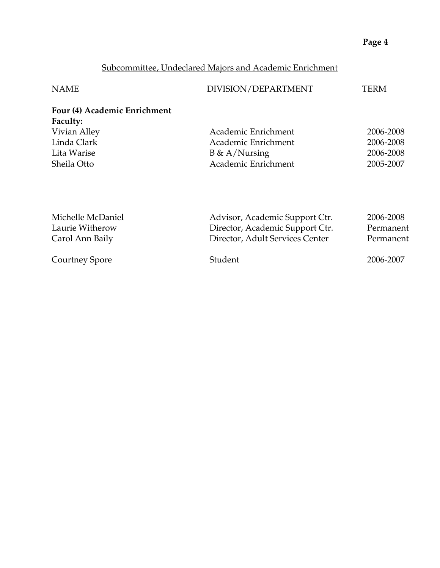# Subcommittee, Undeclared Majors and Academic Enrichment

| <b>NAME</b>                                     | DIVISION/DEPARTMENT            | TERM      |
|-------------------------------------------------|--------------------------------|-----------|
| Four (4) Academic Enrichment<br><b>Faculty:</b> |                                |           |
| Vivian Alley                                    | Academic Enrichment            | 2006-2008 |
| Linda Clark                                     | Academic Enrichment            | 2006-2008 |
| Lita Warise                                     | $B \& A/Nursing$               | 2006-2008 |
| Sheila Otto                                     | Academic Enrichment            | 2005-2007 |
|                                                 |                                |           |
|                                                 |                                |           |
| Michelle McDaniel                               | Advisor, Academic Support Ctr. | 2006-2008 |

| Laurie Witherow | Director, Academic Support Ctr. | Permanent |
|-----------------|---------------------------------|-----------|
| Carol Ann Baily | Director, Adult Services Center | Permanent |
| Courtney Spore  | Student                         | 2006-2007 |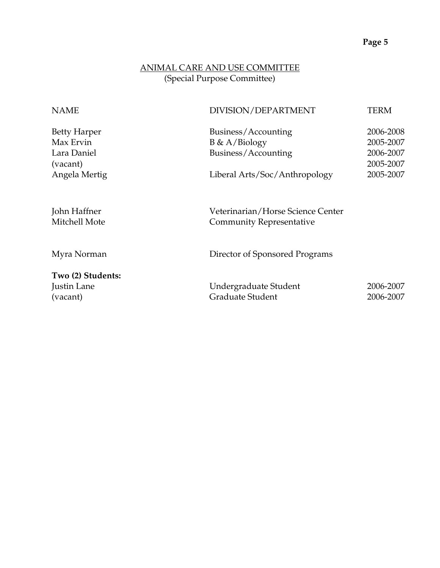# ANIMAL CARE AND USE COMMITTEE (Special Purpose Committee)

| <b>NAME</b>                                                 | DIVISION/DEPARTMENT                                                  | <b>TERM</b>                                      |
|-------------------------------------------------------------|----------------------------------------------------------------------|--------------------------------------------------|
| <b>Betty Harper</b><br>Max Ervin<br>Lara Daniel<br>(vacant) | Business/Accounting<br>$B \& A/Biology$<br>Business/Accounting       | 2006-2008<br>2005-2007<br>2006-2007<br>2005-2007 |
| Angela Mertig                                               | Liberal Arts/Soc/Anthropology                                        | 2005-2007                                        |
| John Haffner<br>Mitchell Mote                               | Veterinarian/Horse Science Center<br><b>Community Representative</b> |                                                  |
| Myra Norman                                                 | Director of Sponsored Programs                                       |                                                  |
| Two (2) Students:<br>Justin Lane<br>(vacant)                | Undergraduate Student<br>Graduate Student                            | 2006-2007<br>2006-2007                           |
|                                                             |                                                                      |                                                  |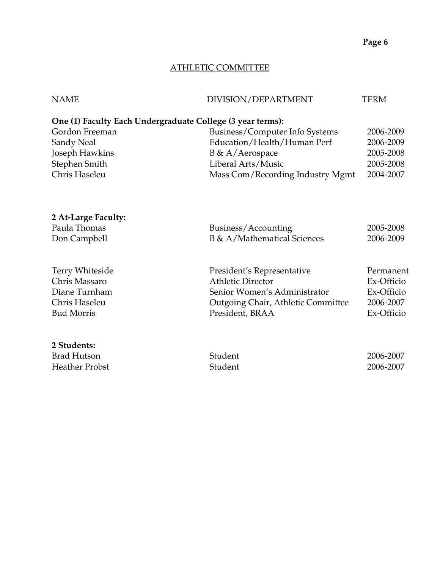## ATHLETIC COMMITTEE

| <b>NAME</b>                                                | DIVISION/DEPARTMENT              | TERM      |
|------------------------------------------------------------|----------------------------------|-----------|
| One (1) Faculty Each Undergraduate College (3 year terms): |                                  |           |
| Gordon Freeman                                             | Business/Computer Info Systems   | 2006-2009 |
| Sandy Neal                                                 | Education/Health/Human Perf      | 2006-2009 |
| Joseph Hawkins                                             | $B \& A/Aerospace$               | 2005-2008 |
| Stephen Smith                                              | Liberal Arts/Music               | 2005-2008 |
| Chris Haseleu                                              | Mass Com/Recording Industry Mgmt | 2004-2007 |
|                                                            |                                  |           |
|                                                            |                                  |           |
|                                                            |                                  |           |
| 2 At-Large Faculty:                                        |                                  |           |
| Paula Thomas                                               | Business/Accounting              | 2005-2008 |
| Don Campbell                                               | B & A/Mathematical Sciences      | 2006-2009 |
|                                                            |                                  |           |

| Terry Whiteside   | President's Representative         | Permanent  |
|-------------------|------------------------------------|------------|
| Chris Massaro     | <b>Athletic Director</b>           | Ex-Officio |
| Diane Turnham     | Senior Women's Administrator       | Ex-Officio |
| Chris Haseleu     | Outgoing Chair, Athletic Committee | 2006-2007  |
| <b>Bud Morris</b> | President, BRAA                    | Ex-Officio |
|                   |                                    |            |

| 2 Students:           |         |           |
|-----------------------|---------|-----------|
| Brad Hutson           | Student | 2006-2007 |
| <b>Heather Probst</b> | Student | 2006-2007 |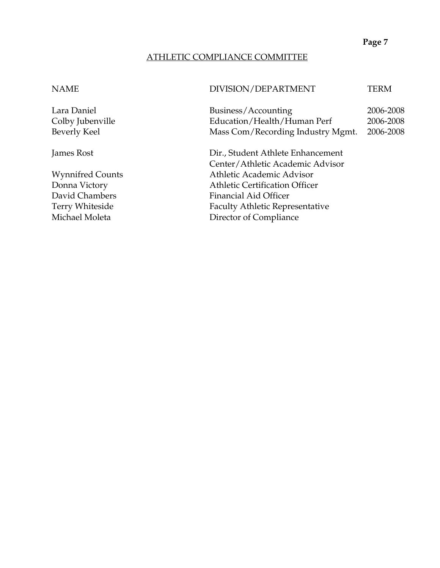### ATHLETIC COMPLIANCE COMMITTEE

### NAME DIVISION/DEPARTMENT TERM

Lara Daniel Business/Accounting 2006-2008 Colby Jubenville Education/Health/Human Perf 2006-2008 Beverly Keel Mass Com/Recording Industry Mgmt. 2006-2008

James Rost Dir., Student Athlete Enhancement Center/Athletic Academic Advisor Wynnifred Counts **Athletic Academic Advisor** Donna Victory **Athletic Certification Officer** David Chambers Financial Aid Officer Terry Whiteside Faculty Athletic Representative Michael Moleta **Director of Compliance**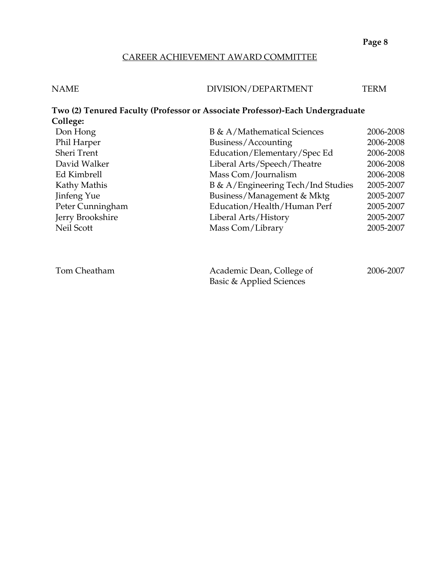### CAREER ACHIEVEMENT AWARD COMMITTEE

# NAME DIVISION/DEPARTMENT TERM

# **Two (2) Tenured Faculty (Professor or Associate Professor)-Each Undergraduate College:**  Don Hong B & A/Mathematical Sciences 2006-2008 Phil Harper Business/Accounting 2006-2008 Sheri Trent Education/Elementary/Spec Ed 2006-2008 David Walker Liberal Arts/Speech/Theatre 2006-2008 Ed Kimbrell Mass Com/Journalism 2006-2008 Kathy Mathis **B & A/Engineering Tech/Ind Studies** 2005-2007 Jinfeng Yue Business/Management & Mktg 2005-2007 Peter Cunningham Education/Health/Human Perf 2005-2007 Jerry Brookshire Liberal Arts/History 2005-2007 Neil Scott Mass Com/Library 2005-2007

| Tom Cheatham | Academic Dean, College of | 2006-2007 |
|--------------|---------------------------|-----------|
|              | Basic & Applied Sciences  |           |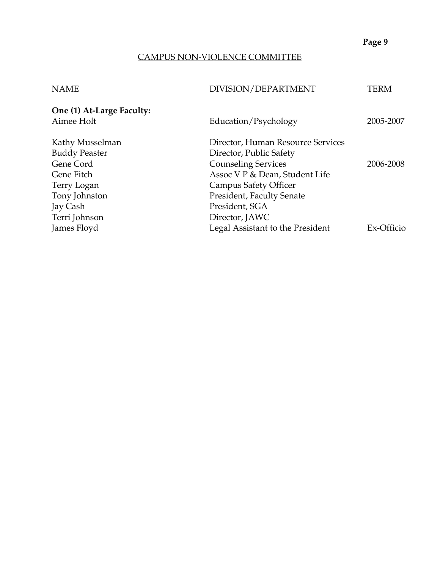## CAMPUS NON-VIOLENCE COMMITTEE

| <b>NAME</b>               | DIVISION/DEPARTMENT               | TERM       |
|---------------------------|-----------------------------------|------------|
| One (1) At-Large Faculty: |                                   |            |
| Aimee Holt                | Education/Psychology              | 2005-2007  |
| Kathy Musselman           | Director, Human Resource Services |            |
| <b>Buddy Peaster</b>      | Director, Public Safety           |            |
| Gene Cord                 | <b>Counseling Services</b>        | 2006-2008  |
| Gene Fitch                | Assoc V P & Dean, Student Life    |            |
| Terry Logan               | Campus Safety Officer             |            |
| Tony Johnston             | President, Faculty Senate         |            |
| Jay Cash                  | President, SGA                    |            |
| Terri Johnson             | Director, JAWC                    |            |
| James Floyd               | Legal Assistant to the President  | Ex-Officio |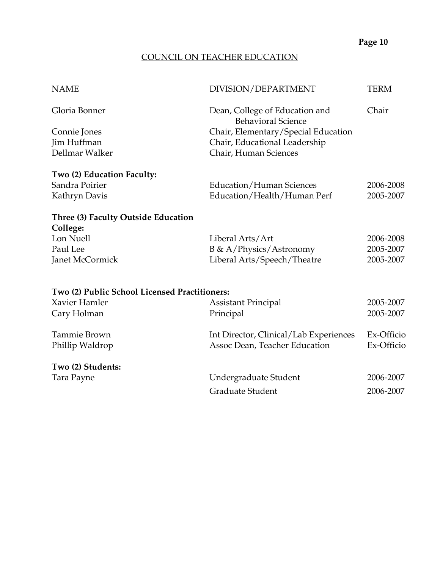## COUNCIL ON TEACHER EDUCATION

| <b>NAME</b>                                                    | DIVISION/DEPARTMENT                                         | <b>TERM</b> |
|----------------------------------------------------------------|-------------------------------------------------------------|-------------|
| Gloria Bonner                                                  | Dean, College of Education and<br><b>Behavioral Science</b> | Chair       |
| Connie Jones                                                   | Chair, Elementary/Special Education                         |             |
| Jim Huffman                                                    | Chair, Educational Leadership                               |             |
| Dellmar Walker                                                 | Chair, Human Sciences                                       |             |
| Two (2) Education Faculty:                                     |                                                             |             |
| Sandra Poirier                                                 | Education/Human Sciences                                    | 2006-2008   |
| Kathryn Davis                                                  | Education/Health/Human Perf                                 | 2005-2007   |
| Three (3) Faculty Outside Education                            |                                                             |             |
| College:                                                       |                                                             |             |
| Lon Nuell                                                      | Liberal Arts/Art                                            | 2006-2008   |
| Paul Lee                                                       | <b>B &amp; A/Physics/Astronomy</b>                          | 2005-2007   |
| Janet McCormick                                                | Liberal Arts/Speech/Theatre                                 | 2005-2007   |
|                                                                |                                                             |             |
| Two (2) Public School Licensed Practitioners:<br>Xavier Hamler |                                                             |             |
|                                                                | <b>Assistant Principal</b>                                  | 2005-2007   |
| Cary Holman                                                    | Principal                                                   | 2005-2007   |
| Tammie Brown                                                   | Int Director, Clinical/Lab Experiences                      | Ex-Officio  |
| Phillip Waldrop                                                | Assoc Dean, Teacher Education                               | Ex-Officio  |
| Two (2) Students:                                              |                                                             |             |
| Tara Payne                                                     | Undergraduate Student                                       | 2006-2007   |
|                                                                | Graduate Student                                            | 2006-2007   |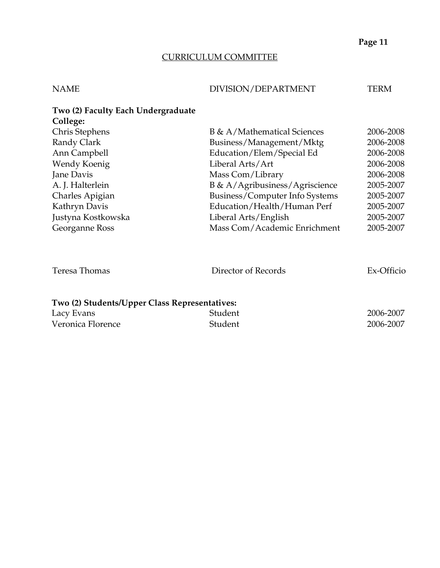# CURRICULUM COMMITTEE

| <b>NAME</b> | DIVISION/DEPARTMENT | TERM |
|-------------|---------------------|------|
|             |                     |      |

| Two (2) Faculty Each Undergraduate<br>College: |                                   |           |
|------------------------------------------------|-----------------------------------|-----------|
| Chris Stephens                                 | B & A/Mathematical Sciences       | 2006-2008 |
| Randy Clark                                    | Business/Management/Mktg          | 2006-2008 |
| Ann Campbell                                   | Education/Elem/Special Ed         | 2006-2008 |
| Wendy Koenig                                   | Liberal Arts/Art                  | 2006-2008 |
| Jane Davis                                     | Mass Com/Library                  | 2006-2008 |
| A. J. Halterlein                               | $B \& A/Agribusiness/Agriscience$ | 2005-2007 |
| Charles Apigian                                | Business/Computer Info Systems    | 2005-2007 |
| Kathryn Davis                                  | Education/Health/Human Perf       | 2005-2007 |
| Justyna Kostkowska                             | Liberal Arts/English              | 2005-2007 |
| Georganne Ross                                 | Mass Com/Academic Enrichment      | 2005-2007 |

| Teresa Thomas                                 | Director of Records | Ex-Officio |
|-----------------------------------------------|---------------------|------------|
|                                               |                     |            |
| Two (2) Students/Upper Class Representatives: |                     |            |
| Lacy Evans                                    | Student             | 2006-2007  |
| Veronica Florence                             | Student             | 2006-2007  |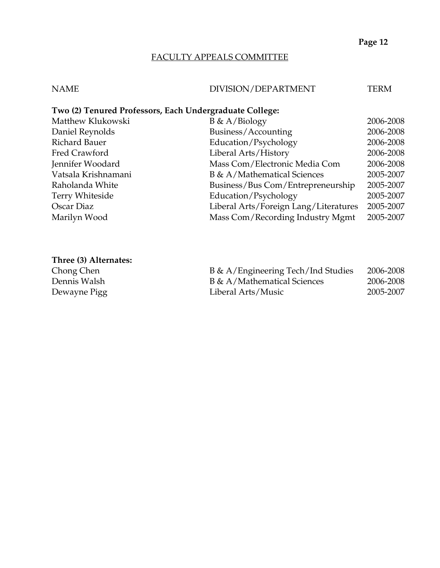# FACULTY APPEALS COMMITTEE

# NAME DIVISION/DEPARTMENT TERM

| Two (2) Tenured Professors, Each Undergraduate College: |                                       |           |  |
|---------------------------------------------------------|---------------------------------------|-----------|--|
| Matthew Klukowski                                       | $B \& A/Biology$                      | 2006-2008 |  |
| Daniel Reynolds                                         | Business/Accounting                   | 2006-2008 |  |
| Richard Bauer                                           | Education/Psychology                  | 2006-2008 |  |
| Fred Crawford                                           | Liberal Arts/History                  | 2006-2008 |  |
| Jennifer Woodard                                        | Mass Com/Electronic Media Com         | 2006-2008 |  |
| Vatsala Krishnamani                                     | B & A/Mathematical Sciences           | 2005-2007 |  |
| Raholanda White                                         | Business/Bus Com/Entrepreneurship     | 2005-2007 |  |
| Terry Whiteside                                         | Education/Psychology                  | 2005-2007 |  |
| Oscar Diaz                                              | Liberal Arts/Foreign Lang/Literatures | 2005-2007 |  |
| Marilyn Wood                                            | Mass Com/Recording Industry Mgmt      | 2005-2007 |  |

## **Three (3) Alternates:**

Chong Chen Dennis Walsh Dewayne Pigg

| B & A/Engineering Tech/Ind Studies | 2006-2008 |
|------------------------------------|-----------|
| B & A/Mathematical Sciences        | 2006-2008 |
| Liberal Arts/Music                 | 2005-2007 |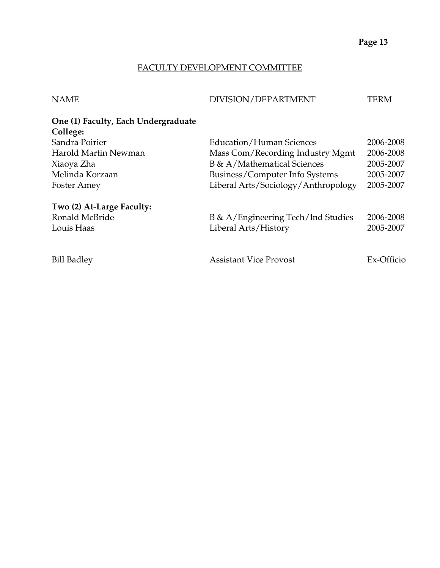### FACULTY DEVELOPMENT COMMITTEE

NAME DIVISION/DEPARTMENT TERM

| One (1) Faculty, Each Undergraduate |                                  |           |
|-------------------------------------|----------------------------------|-----------|
| College:                            |                                  |           |
| Sandra Poirier                      | Education/Human Sciences         | 2006-2008 |
| Harold Martin Newman                | Mass Com/Recording Industry Mgmt | 2006-2008 |
| Xiaoya Zha                          | B & A/Mathematical Sciences      | 2005-2007 |

# Foster Amey Liberal Arts/Sociology/Anthropology 2005-2007 **Two (2) At-Large Faculty:**  Ronald McBride B & A/Engineering Tech/Ind Studies 2006-2008 Louis Haas Liberal Arts/History 2005-2007 Bill Badley Assistant Vice Provost Ex-Officio

Melinda Korzaan Business/Computer Info Systems 2005-2007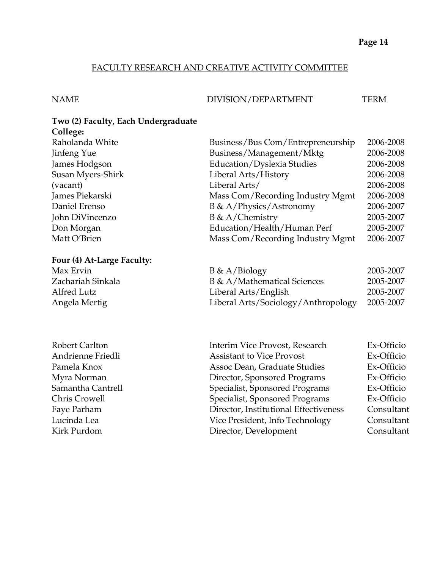## FACULTY RESEARCH AND CREATIVE ACTIVITY COMMITTEE

### NAME DIVISION/DEPARTMENT TERM

### **Two (2) Faculty, Each Undergraduate College:**

**Four (4) At-Large Faculty:** 

| Raholanda White   | Business/Bus Com/Entrepreneurship | 2006-2008 |
|-------------------|-----------------------------------|-----------|
| Jinfeng Yue       | Business/Management/Mktg          | 2006-2008 |
| James Hodgson     | Education/Dyslexia Studies        | 2006-2008 |
| Susan Myers-Shirk | Liberal Arts/History              | 2006-2008 |
| (vacant)          | Liberal Arts/                     | 2006-2008 |
| James Piekarski   | Mass Com/Recording Industry Mgmt  | 2006-2008 |
| Daniel Erenso     | B & A/Physics/Astronomy           | 2006-2007 |
| John DiVincenzo   | B & A/Chemistry                   | 2005-2007 |
| Don Morgan        | Education/Health/Human Perf       | 2005-2007 |
| Matt O'Brien      | Mass Com/Recording Industry Mgmt  | 2006-2007 |
|                   |                                   |           |

| Max Ervin         | $B \& A/Biology$                    | 2005-2007 |
|-------------------|-------------------------------------|-----------|
| Zachariah Sinkala | B & A/Mathematical Sciences         | 2005-2007 |
| Alfred Lutz       | Liberal Arts/English                | 2005-2007 |
| Angela Mertig     | Liberal Arts/Sociology/Anthropology | 2005-2007 |

| Robert Carlton    | Interim Vice Provost, Research        | Ex-Officio |
|-------------------|---------------------------------------|------------|
| Andrienne Friedli | <b>Assistant to Vice Provost</b>      | Ex-Officio |
| Pamela Knox       | Assoc Dean, Graduate Studies          | Ex-Officio |
| Myra Norman       | Director, Sponsored Programs          | Ex-Officio |
| Samantha Cantrell | Specialist, Sponsored Programs        | Ex-Officio |
| Chris Crowell     | Specialist, Sponsored Programs        | Ex-Officio |
| Faye Parham       | Director, Institutional Effectiveness | Consultant |
| Lucinda Lea       | Vice President, Info Technology       | Consultant |
| Kirk Purdom       | Director, Development                 | Consultant |
|                   |                                       |            |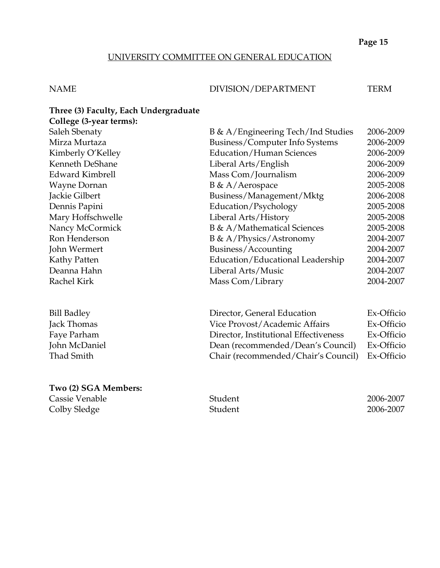## UNIVERSITY COMMITTEE ON GENERAL EDUCATION

### NAME DIVISION/DEPARTMENT TERM

| Three (3) Faculty, Each Undergraduate    |                                    |            |
|------------------------------------------|------------------------------------|------------|
| College (3-year terms):<br>Saleh Sbenaty | B & A/Engineering Tech/Ind Studies | 2006-2009  |
| Mirza Murtaza                            | Business/Computer Info Systems     | 2006-2009  |
| Kimberly O'Kelley                        | Education/Human Sciences           | 2006-2009  |
| Kenneth DeShane                          | Liberal Arts/English               | 2006-2009  |
| <b>Edward Kimbrell</b>                   | Mass Com/Journalism                | 2006-2009  |
| Wayne Dornan                             | B & A/Aerospace                    | 2005-2008  |
| Jackie Gilbert                           | Business/Management/Mktg           | 2006-2008  |
| Dennis Papini                            | Education/Psychology               | 2005-2008  |
| Mary Hoffschwelle                        | Liberal Arts/History               | 2005-2008  |
| Nancy McCormick                          | B & A/Mathematical Sciences        | 2005-2008  |
| Ron Henderson                            | <b>B</b> & A/Physics/Astronomy     | 2004-2007  |
| John Wermert                             | Business/Accounting                | 2004-2007  |
| Kathy Patten                             | Education/Educational Leadership   | 2004-2007  |
| Deanna Hahn                              | Liberal Arts/Music                 | 2004-2007  |
| <b>Rachel Kirk</b>                       | Mass Com/Library                   | 2004-2007  |
| <b>Bill Badley</b>                       | Director, General Education        | Ex-Officio |

| Vice Provost/Academic Affairs                  | Ex-Officio |
|------------------------------------------------|------------|
| Director, Institutional Effectiveness          | Ex-Officio |
| Dean (recommended/Dean's Council)              | Ex-Officio |
| Chair (recommended/Chair's Council) Ex-Officio |            |
|                                                |            |

## **Two (2) SGA Members:**

Cassie Venable Student 2006-2007 Colby Sledge Student 2006-2007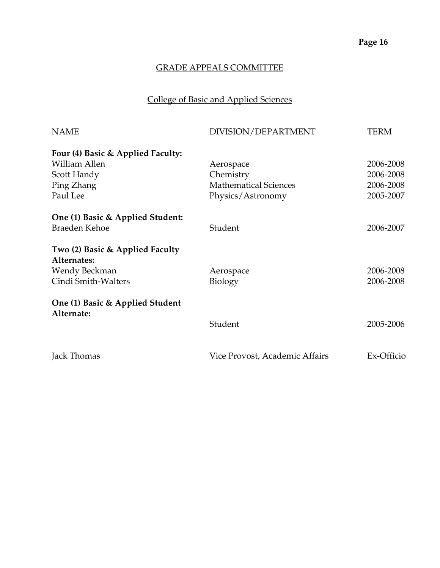# College of Basic and Applied Sciences

| <b>NAME</b>                                    | DIVISION/DEPARTMENT            | <b>TERM</b> |
|------------------------------------------------|--------------------------------|-------------|
| Four (4) Basic & Applied Faculty:              |                                |             |
| William Allen                                  | Aerospace                      | 2006-2008   |
| Scott Handy                                    | Chemistry                      | 2006-2008   |
| Ping Zhang                                     | <b>Mathematical Sciences</b>   | 2006-2008   |
| Paul Lee                                       | Physics/Astronomy              | 2005-2007   |
| One (1) Basic & Applied Student:               |                                |             |
| Braeden Kehoe                                  | Student                        | 2006-2007   |
| Two (2) Basic & Applied Faculty<br>Alternates: |                                |             |
| Wendy Beckman                                  | Aerospace                      | 2006-2008   |
| Cindi Smith-Walters                            | <b>Biology</b>                 | 2006-2008   |
| One (1) Basic & Applied Student                |                                |             |
| Alternate:                                     | Student                        | 2005-2006   |
| Jack Thomas                                    | Vice Provost, Academic Affairs | Ex-Officio  |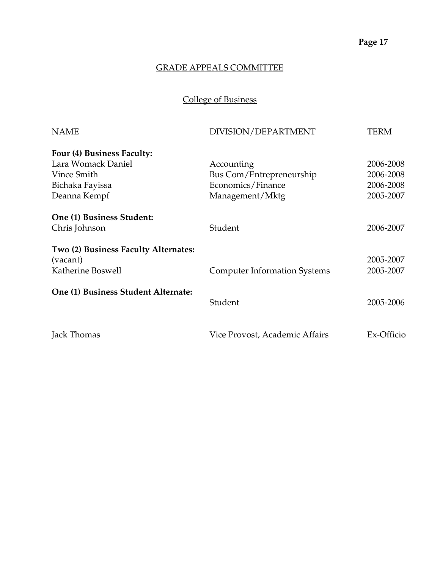College of Business

| DIVISION/DEPARTMENT                 | TERM                           |
|-------------------------------------|--------------------------------|
|                                     |                                |
| Accounting                          | 2006-2008                      |
| Bus Com/Entrepreneurship            | 2006-2008                      |
| Economics/Finance                   | 2006-2008                      |
| Management/Mktg                     | 2005-2007                      |
|                                     |                                |
| Student                             | 2006-2007                      |
|                                     | 2005-2007                      |
| <b>Computer Information Systems</b> | 2005-2007                      |
|                                     |                                |
| Student                             | 2005-2006                      |
|                                     | Ex-Officio                     |
|                                     | Vice Provost, Academic Affairs |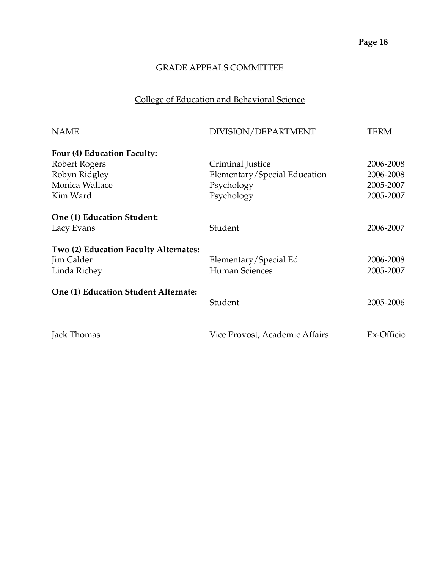# College of Education and Behavioral Science

| <b>NAME</b>                           | DIVISION/DEPARTMENT            | TERM       |
|---------------------------------------|--------------------------------|------------|
| Four (4) Education Faculty:           |                                |            |
| Robert Rogers                         | Criminal Justice               | 2006-2008  |
| Robyn Ridgley                         | Elementary/Special Education   | 2006-2008  |
| Monica Wallace                        | Psychology                     | 2005-2007  |
| Kim Ward                              | Psychology                     | 2005-2007  |
| One (1) Education Student:            |                                |            |
| Lacy Evans                            | Student                        | 2006-2007  |
| Two (2) Education Faculty Alternates: |                                |            |
| Jim Calder                            | Elementary/Special Ed          | 2006-2008  |
| Linda Richey                          | <b>Human Sciences</b>          | 2005-2007  |
| One (1) Education Student Alternate:  |                                |            |
|                                       | Student                        | 2005-2006  |
| Jack Thomas                           | Vice Provost, Academic Affairs | Ex-Officio |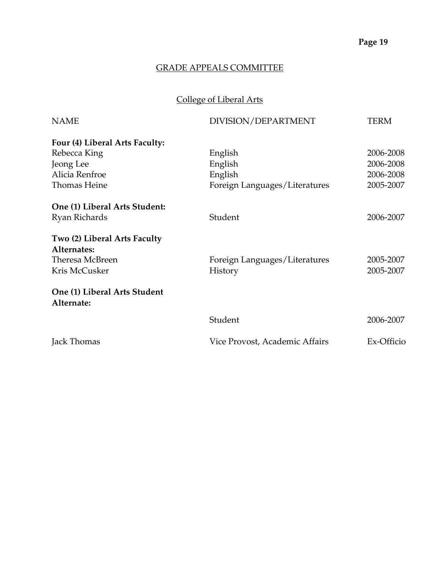# College of Liberal Arts

| <b>NAME</b>                                | DIVISION/DEPARTMENT            | TERM       |
|--------------------------------------------|--------------------------------|------------|
| Four (4) Liberal Arts Faculty:             |                                |            |
| Rebecca King                               | English                        | 2006-2008  |
| Jeong Lee                                  | English                        | 2006-2008  |
| Alicia Renfroe                             | English                        | 2006-2008  |
| Thomas Heine                               | Foreign Languages/Literatures  | 2005-2007  |
| One (1) Liberal Arts Student:              |                                |            |
| Ryan Richards                              | Student                        | 2006-2007  |
| Two (2) Liberal Arts Faculty               |                                |            |
| Alternates:                                |                                |            |
| Theresa McBreen                            | Foreign Languages/Literatures  | 2005-2007  |
| Kris McCusker                              | History                        | 2005-2007  |
| One (1) Liberal Arts Student<br>Alternate: |                                |            |
|                                            | Student                        | 2006-2007  |
| Jack Thomas                                | Vice Provost, Academic Affairs | Ex-Officio |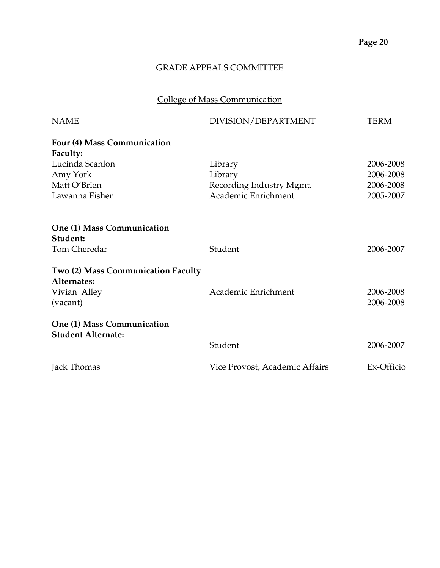# GRADE APPEALS COMMITTEE

# College of Mass Communication

| <b>NAME</b>                            | DIVISION/DEPARTMENT            | TERM       |
|----------------------------------------|--------------------------------|------------|
| Four (4) Mass Communication            |                                |            |
| Faculty:                               |                                |            |
| Lucinda Scanlon                        | Library                        | 2006-2008  |
| Amy York                               | Library                        | 2006-2008  |
| Matt O'Brien                           | Recording Industry Mgmt.       | 2006-2008  |
| Lawanna Fisher                         | Academic Enrichment            | 2005-2007  |
| One (1) Mass Communication<br>Student: |                                |            |
| Tom Cheredar                           | Student                        | 2006-2007  |
|                                        |                                |            |
| Two (2) Mass Communication Faculty     |                                |            |
| Alternates:                            |                                |            |
| Vivian Alley                           | Academic Enrichment            | 2006-2008  |
| (vacant)                               |                                | 2006-2008  |
| One (1) Mass Communication             |                                |            |
| <b>Student Alternate:</b>              |                                |            |
|                                        | Student                        | 2006-2007  |
| Jack Thomas                            | Vice Provost, Academic Affairs | Ex-Officio |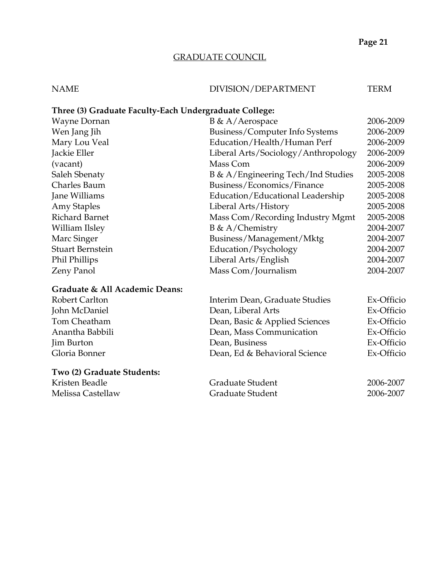# GRADUATE COUNCIL

# NAME DIVISION/DEPARTMENT TERM

# **Three (3) Graduate Faculty-Each Undergraduate College:**

| Wayne Dornan            | $B \& A/Aerospace$                  | 2006-2009 |
|-------------------------|-------------------------------------|-----------|
| Wen Jang Jih            | Business/Computer Info Systems      | 2006-2009 |
| Mary Lou Veal           | Education/Health/Human Perf         | 2006-2009 |
| Jackie Eller            | Liberal Arts/Sociology/Anthropology | 2006-2009 |
| (vacant)                | Mass Com                            | 2006-2009 |
| Saleh Sbenaty           | B & A/Engineering Tech/Ind Studies  | 2005-2008 |
| Charles Baum            | Business/Economics/Finance          | 2005-2008 |
| Jane Williams           | Education/Educational Leadership    | 2005-2008 |
| <b>Amy Staples</b>      | Liberal Arts/History                | 2005-2008 |
| <b>Richard Barnet</b>   | Mass Com/Recording Industry Mgmt    | 2005-2008 |
| William Ilsley          | $B \& A/Chemistry$                  | 2004-2007 |
| Marc Singer             | Business/Management/Mktg            | 2004-2007 |
| <b>Stuart Bernstein</b> | Education/Psychology                | 2004-2007 |
| Phil Phillips           | Liberal Arts/English                | 2004-2007 |
| Zeny Panol              | Mass Com/Journalism                 | 2004-2007 |
|                         |                                     |           |

## **Graduate & All Academic Deans:**

| Robert Carlton             | Interim Dean, Graduate Studies | Ex-Officio |
|----------------------------|--------------------------------|------------|
| John McDaniel              | Dean, Liberal Arts             | Ex-Officio |
| Tom Cheatham               | Dean, Basic & Applied Sciences | Ex-Officio |
| Anantha Babbili            | Dean, Mass Communication       | Ex-Officio |
| <b>Jim Burton</b>          | Dean, Business                 | Ex-Officio |
| Gloria Bonner              | Dean, Ed & Behavioral Science  | Ex-Officio |
| Two (2) Graduate Students: |                                |            |

| Kristen Beadle    | Graduate Student | 2006-2007 |
|-------------------|------------------|-----------|
| Melissa Castellaw | Graduate Student | 2006-2007 |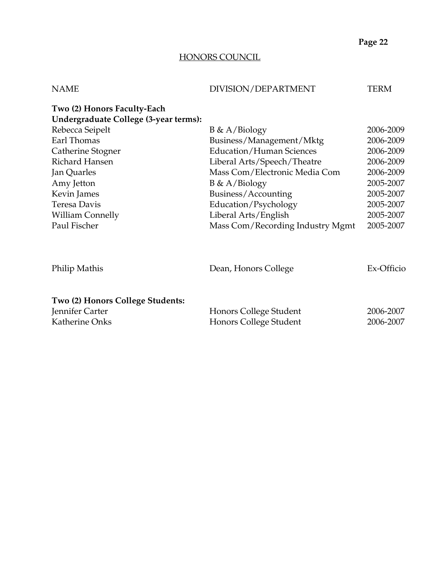## HONORS COUNCIL

| Two (2) Honors Faculty-Each<br>Undergraduate College (3-year terms):<br>Rebecca Seipelt<br>$B \& A/Biology$<br>Earl Thomas<br>Business/Management/Mktg<br>Catherine Stogner<br><b>Education/Human Sciences</b><br>Richard Hansen<br>Liberal Arts/Speech/Theatre | 2006-2009<br>2006-2009<br>2006-2009<br>2006-2009 |
|-----------------------------------------------------------------------------------------------------------------------------------------------------------------------------------------------------------------------------------------------------------------|--------------------------------------------------|
|                                                                                                                                                                                                                                                                 |                                                  |
|                                                                                                                                                                                                                                                                 |                                                  |
|                                                                                                                                                                                                                                                                 |                                                  |
|                                                                                                                                                                                                                                                                 |                                                  |
|                                                                                                                                                                                                                                                                 |                                                  |
|                                                                                                                                                                                                                                                                 |                                                  |
| Jan Quarles<br>Mass Com/Electronic Media Com                                                                                                                                                                                                                    | 2006-2009                                        |
| $B \& A/Biology$<br>Amy Jetton                                                                                                                                                                                                                                  | 2005-2007                                        |
| Kevin James<br>Business/Accounting                                                                                                                                                                                                                              | 2005-2007                                        |
| Teresa Davis<br>Education/Psychology                                                                                                                                                                                                                            | 2005-2007                                        |
| <b>William Connelly</b><br>Liberal Arts/English                                                                                                                                                                                                                 | 2005-2007                                        |
| Paul Fischer<br>Mass Com/Recording Industry Mgmt                                                                                                                                                                                                                | 2005-2007                                        |
| Philip Mathis<br>Dean, Honors College                                                                                                                                                                                                                           | Ex-Officio                                       |
| Two (2) Honors College Students:<br>Jennifer Carter<br>Honors College Student<br>Katherine Onks<br>Honors College Student                                                                                                                                       | 2006-2007<br>2006-2007                           |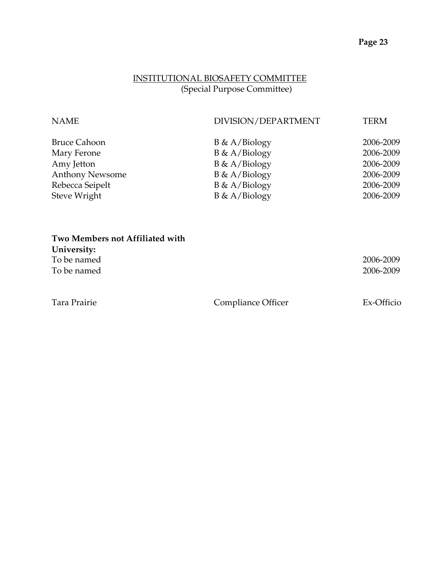# INSTITUTIONAL BIOSAFETY COMMITTEE (Special Purpose Committee)

| <b>NAME</b>            | DIVISION/DEPARTMENT | <b>TERM</b> |
|------------------------|---------------------|-------------|
| <b>Bruce Cahoon</b>    | $B \& A/Biology$    | 2006-2009   |
| Mary Ferone            | $B \& A/Biology$    | 2006-2009   |
| Amy Jetton             | $B \& A/Biology$    | 2006-2009   |
| <b>Anthony Newsome</b> | $B \& A/Biology$    | 2006-2009   |
| Rebecca Seipelt        | $B \& A/Biology$    | 2006-2009   |
| Steve Wright           | $B \& A/Biology$    | 2006-2009   |

| Two Members not Affiliated with |                    |            |
|---------------------------------|--------------------|------------|
| University:                     |                    |            |
| To be named                     |                    | 2006-2009  |
| To be named                     |                    | 2006-2009  |
| Tara Prairie                    | Compliance Officer | Ex-Officio |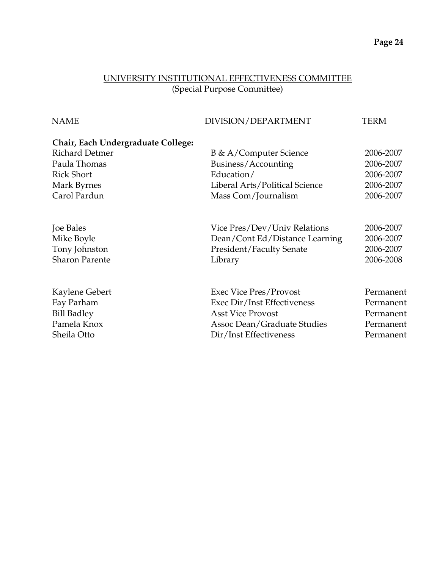# UNIVERSITY INSTITUTIONAL EFFECTIVENESS COMMITTEE (Special Purpose Committee)

| DIVISION/DEPARTMENT             | <b>TERM</b> |
|---------------------------------|-------------|
|                                 |             |
| <b>B</b> & A/Computer Science   | 2006-2007   |
| Business/Accounting             | 2006-2007   |
| Education/                      | 2006-2007   |
| Liberal Arts/Political Science  | 2006-2007   |
| Mass Com/Journalism             | 2006-2007   |
| Vice Pres/Dev/Univ Relations    | 2006-2007   |
| Dean/Cont Ed/Distance Learning  | 2006-2007   |
| <b>President/Faculty Senate</b> | 2006-2007   |
| Library                         | 2006-2008   |
| <b>Exec Vice Pres/Provost</b>   | Permanent   |
| Exec Dir/Inst Effectiveness     | Permanent   |
| <b>Asst Vice Provost</b>        | Permanent   |
| Assoc Dean/Graduate Studies     | Permanent   |
| Dir/Inst Effectiveness          | Permanent   |
|                                 |             |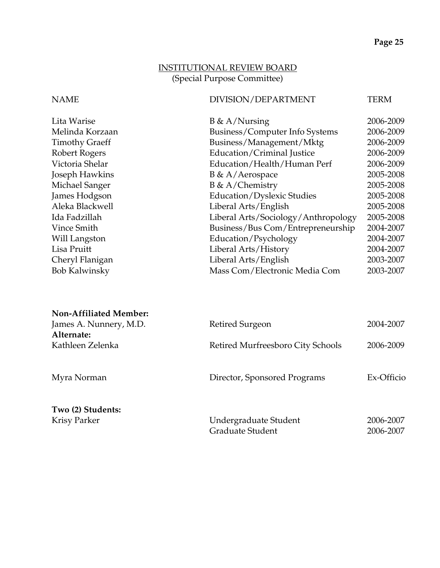# INSTITUTIONAL REVIEW BOARD (Special Purpose Committee)

### NAME DIVISION/DEPARTMENT TERM

| Lita Warise           | $B \& A/Nursing$                    | 2006-2009 |
|-----------------------|-------------------------------------|-----------|
| Melinda Korzaan       | Business/Computer Info Systems      | 2006-2009 |
| <b>Timothy Graeff</b> | Business/Management/Mktg            | 2006-2009 |
| Robert Rogers         | Education/Criminal Justice          | 2006-2009 |
| Victoria Shelar       | Education/Health/Human Perf         | 2006-2009 |
| Joseph Hawkins        | B & A/Aerospace                     | 2005-2008 |
| Michael Sanger        | $B \& A/Chemistry$                  | 2005-2008 |
| James Hodgson         | Education/Dyslexic Studies          | 2005-2008 |
| Aleka Blackwell       | Liberal Arts/English                | 2005-2008 |
| Ida Fadzillah         | Liberal Arts/Sociology/Anthropology | 2005-2008 |
| Vince Smith           | Business/Bus Com/Entrepreneurship   | 2004-2007 |
| Will Langston         | Education/Psychology                | 2004-2007 |
| Lisa Pruitt           | Liberal Arts/History                | 2004-2007 |
| Cheryl Flanigan       | Liberal Arts/English                | 2003-2007 |
| <b>Bob Kalwinsky</b>  | Mass Com/Electronic Media Com       | 2003-2007 |
|                       |                                     |           |

| <b>Non-Affiliated Member:</b> |                                   |            |
|-------------------------------|-----------------------------------|------------|
| James A. Nunnery, M.D.        | Retired Surgeon                   | 2004-2007  |
| Alternate:                    |                                   |            |
| Kathleen Zelenka              | Retired Murfreesboro City Schools | 2006-2009  |
| Myra Norman                   | Director, Sponsored Programs      | Ex-Officio |
| Two (2) Students:             |                                   |            |
| <b>Krisy Parker</b>           | Undergraduate Student             | 2006-2007  |
|                               | Graduate Student                  | 2006-2007  |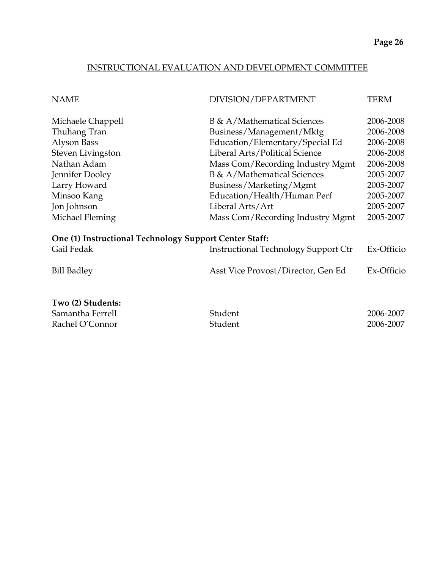### INSTRUCTIONAL EVALUATION AND DEVELOPMENT COMMITTEE

| <b>NAME</b>                                                                                                                                           | DIVISION/DEPARTMENT                                                                                                                                                                                                                                                           | TERM                                                                                                              |
|-------------------------------------------------------------------------------------------------------------------------------------------------------|-------------------------------------------------------------------------------------------------------------------------------------------------------------------------------------------------------------------------------------------------------------------------------|-------------------------------------------------------------------------------------------------------------------|
| Michaele Chappell<br>Thuhang Tran<br>Alyson Bass<br>Steven Livingston<br>Nathan Adam<br>Jennifer Dooley<br>Larry Howard<br>Minsoo Kang<br>Jon Johnson | B & A/Mathematical Sciences<br>Business/Management/Mktg<br>Education/Elementary/Special Ed<br>Liberal Arts/Political Science<br>Mass Com/Recording Industry Mgmt<br>B & A/Mathematical Sciences<br>Business/Marketing/Mgmt<br>Education/Health/Human Perf<br>Liberal Arts/Art | 2006-2008<br>2006-2008<br>2006-2008<br>2006-2008<br>2006-2008<br>2005-2007<br>2005-2007<br>2005-2007<br>2005-2007 |
| Michael Fleming                                                                                                                                       | Mass Com/Recording Industry Mgmt                                                                                                                                                                                                                                              | 2005-2007                                                                                                         |
| One (1) Instructional Technology Support Center Staff:<br>Gail Fedak                                                                                  | <b>Instructional Technology Support Ctr</b>                                                                                                                                                                                                                                   | Ex-Officio                                                                                                        |
| <b>Bill Badley</b>                                                                                                                                    | Asst Vice Provost/Director, Gen Ed                                                                                                                                                                                                                                            | Ex-Officio                                                                                                        |
| Two (2) Students:<br>Samantha Ferrell<br>Rachel O'Connor                                                                                              | Student<br>Student                                                                                                                                                                                                                                                            | 2006-2007<br>2006-2007                                                                                            |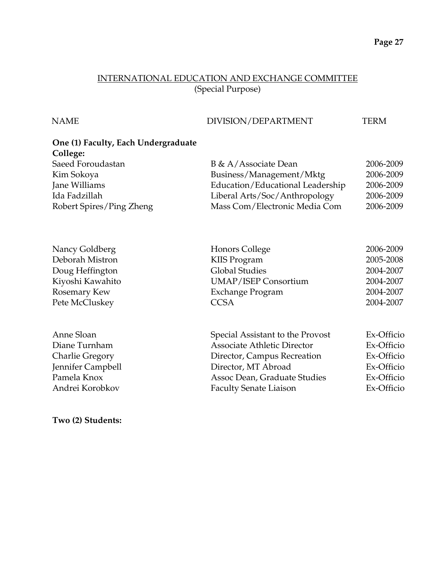### INTERNATIONAL EDUCATION AND EXCHANGE COMMITTEE (Special Purpose)

### NAME DIVISION/DEPARTMENT TERM

# **One (1) Faculty, Each Undergraduate College:**

| Saeed Foroudastan        | B & A/Associate Dean             | 2006-2009 |
|--------------------------|----------------------------------|-----------|
| Kim Sokoya               | Business/Management/Mktg         | 2006-2009 |
| Jane Williams            | Education/Educational Leadership | 2006-2009 |
| Ida Fadzillah            | Liberal Arts/Soc/Anthropology    | 2006-2009 |
| Robert Spires/Ping Zheng | Mass Com/Electronic Media Com    | 2006-2009 |

| Nancy Goldberg         | <b>Honors College</b>              | 2006-2009  |
|------------------------|------------------------------------|------------|
| Deborah Mistron        | KIIS Program                       | 2005-2008  |
| Doug Heffington        | <b>Global Studies</b>              | 2004-2007  |
| Kiyoshi Kawahito       | <b>UMAP/ISEP Consortium</b>        | 2004-2007  |
| Rosemary Kew           | <b>Exchange Program</b>            | 2004-2007  |
| Pete McCluskey         | <b>CCSA</b>                        | 2004-2007  |
|                        |                                    |            |
| Anne Sloan             | Special Assistant to the Provost   | Ex-Officio |
| Diane Turnham          | <b>Associate Athletic Director</b> | Ex-Officio |
| <b>Charlie Gregory</b> | Director, Campus Recreation        | Ex-Officio |
| Jennifer Campbell      | Director, MT Abroad                | Ex-Officio |
| Pamela Knox            | Assoc Dean, Graduate Studies       | Ex-Officio |
| Andrei Korobkov        | <b>Faculty Senate Liaison</b>      | Ex-Officio |

### **Two (2) Students:**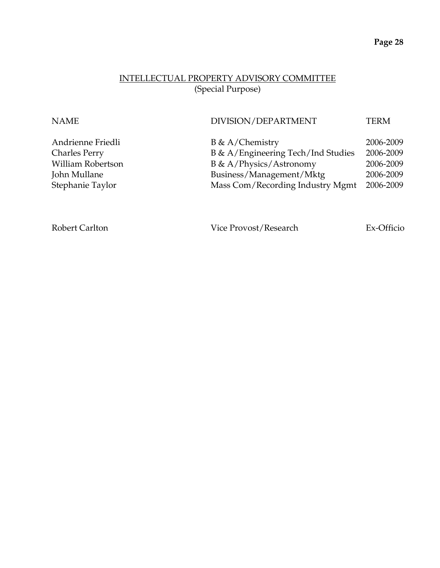## INTELLECTUAL PROPERTY ADVISORY COMMITTEE (Special Purpose)

| <b>NAME</b>          | DIVISION/DEPARTMENT                | <b>TERM</b> |
|----------------------|------------------------------------|-------------|
| Andrienne Friedli    | $B \& A/Chemistry$                 | 2006-2009   |
| <b>Charles Perry</b> | B & A/Engineering Tech/Ind Studies | 2006-2009   |
| William Robertson    | B & A/Physics/Astronomy            | 2006-2009   |
| John Mullane         | Business/Management/Mktg           | 2006-2009   |
| Stephanie Taylor     | Mass Com/Recording Industry Mgmt   | 2006-2009   |
|                      |                                    |             |

Robert Carlton Vice Provost/Research Ex-Officio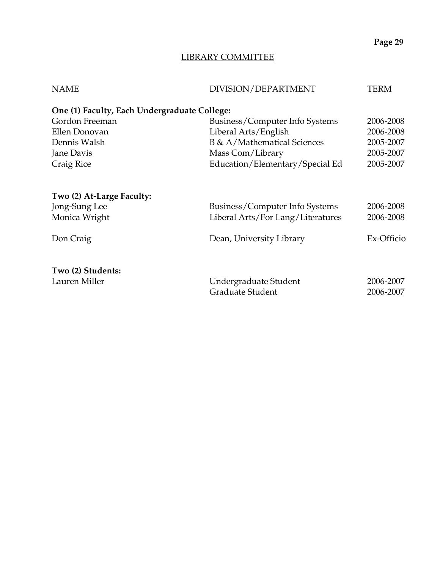# LIBRARY COMMITTEE

| <b>NAME</b>                                  | DIVISION/DEPARTMENT               | TERM       |
|----------------------------------------------|-----------------------------------|------------|
| One (1) Faculty, Each Undergraduate College: |                                   |            |
| Gordon Freeman                               | Business/Computer Info Systems    | 2006-2008  |
| Ellen Donovan                                | Liberal Arts/English              | 2006-2008  |
| Dennis Walsh                                 | B & A/Mathematical Sciences       | 2005-2007  |
| Jane Davis                                   | Mass Com/Library                  | 2005-2007  |
| Craig Rice                                   | Education/Elementary/Special Ed   | 2005-2007  |
| Two (2) At-Large Faculty:                    |                                   |            |
| Jong-Sung Lee                                | Business/Computer Info Systems    | 2006-2008  |
| Monica Wright                                | Liberal Arts/For Lang/Literatures | 2006-2008  |
| Don Craig                                    | Dean, University Library          | Ex-Officio |
| Two (2) Students:                            |                                   |            |
| Lauren Miller                                | Undergraduate Student             | 2006-2007  |
|                                              | Graduate Student                  | 2006-2007  |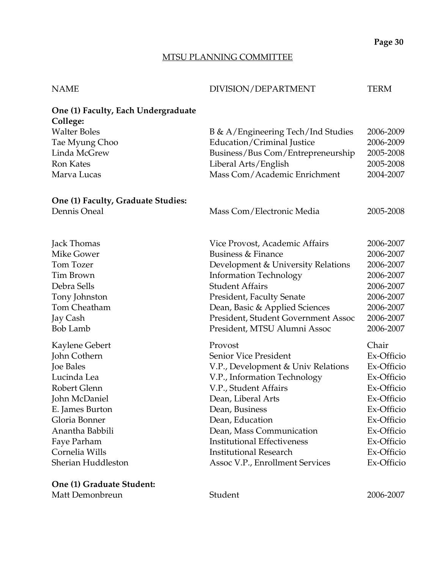### MTSU PLANNING COMMITTEE

| <b>NAME</b>                                     | DIVISION/DEPARTMENT                 | TERM       |
|-------------------------------------------------|-------------------------------------|------------|
| One (1) Faculty, Each Undergraduate<br>College: |                                     |            |
| <b>Walter Boles</b>                             | B & A/Engineering Tech/Ind Studies  | 2006-2009  |
| Tae Myung Choo                                  | Education/Criminal Justice          | 2006-2009  |
| Linda McGrew                                    | Business/Bus Com/Entrepreneurship   | 2005-2008  |
| <b>Ron Kates</b>                                | Liberal Arts/English                | 2005-2008  |
| Marva Lucas                                     | Mass Com/Academic Enrichment        | 2004-2007  |
| One (1) Faculty, Graduate Studies:              |                                     |            |
| Dennis Oneal                                    | Mass Com/Electronic Media           | 2005-2008  |
| Jack Thomas                                     | Vice Provost, Academic Affairs      | 2006-2007  |
| Mike Gower                                      | <b>Business &amp; Finance</b>       | 2006-2007  |
| Tom Tozer                                       | Development & University Relations  | 2006-2007  |
| <b>Tim Brown</b>                                | <b>Information Technology</b>       | 2006-2007  |
| Debra Sells                                     | <b>Student Affairs</b>              | 2006-2007  |
| Tony Johnston                                   | President, Faculty Senate           | 2006-2007  |
| Tom Cheatham                                    | Dean, Basic & Applied Sciences      | 2006-2007  |
| Jay Cash                                        | President, Student Government Assoc | 2006-2007  |
| <b>Bob Lamb</b>                                 | President, MTSU Alumni Assoc        | 2006-2007  |
| Kaylene Gebert                                  | Provost                             | Chair      |
| John Cothern                                    | Senior Vice President               | Ex-Officio |
| Joe Bales                                       | V.P., Development & Univ Relations  | Ex-Officio |
| Lucinda Lea                                     | V.P., Information Technology        | Ex-Officio |
| Robert Glenn                                    | V.P., Student Affairs               | Ex-Officio |
| John McDaniel                                   | Dean, Liberal Arts                  | Ex-Officio |
| E. James Burton                                 | Dean, Business                      | Ex-Officio |
| Gloria Bonner                                   | Dean, Education                     | Ex-Officio |
| Anantha Babbili                                 | Dean, Mass Communication            | Ex-Officio |
| Faye Parham                                     | <b>Institutional Effectiveness</b>  | Ex-Officio |
| Cornelia Wills                                  | <b>Institutional Research</b>       | Ex-Officio |
| Sherian Huddleston                              | Assoc V.P., Enrollment Services     | Ex-Officio |
|                                                 |                                     |            |

**One (1) Graduate Student:**  Matt Demonbreun Student 2006-2007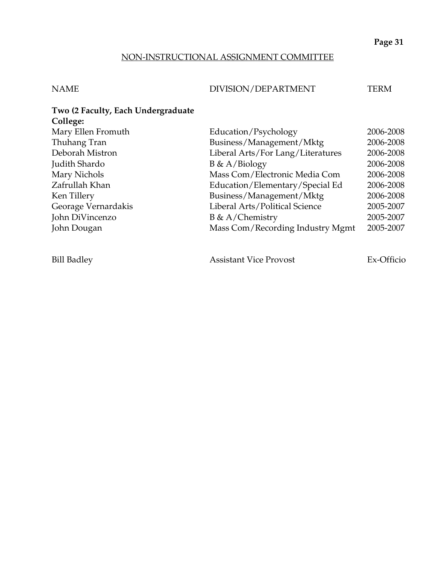## NON-INSTRUCTIONAL ASSIGNMENT COMMITTEE

## NAME DIVISION/DEPARTMENT TERM

| Two (2 Faculty, Each Undergraduate |                                   |           |
|------------------------------------|-----------------------------------|-----------|
| College:                           |                                   |           |
| Mary Ellen Fromuth                 | Education/Psychology              | 2006-2008 |
| Thuhang Tran                       | Business/Management/Mktg          | 2006-2008 |
| Deborah Mistron                    | Liberal Arts/For Lang/Literatures | 2006-2008 |
| Judith Shardo                      | $B \& A/Biology$                  | 2006-2008 |
| Mary Nichols                       | Mass Com/Electronic Media Com     | 2006-2008 |
| Zafrullah Khan                     | Education/Elementary/Special Ed   | 2006-2008 |
| Ken Tillery                        | Business/Management/Mktg          | 2006-2008 |
| Georage Vernardakis                | Liberal Arts/Political Science    | 2005-2007 |
| John DiVincenzo                    | $B \& A/Chemistry$                | 2005-2007 |
| John Dougan                        | Mass Com/Recording Industry Mgmt  | 2005-2007 |
|                                    |                                   |           |

Bill Badley **Assistant Vice Provost** Ex-Officio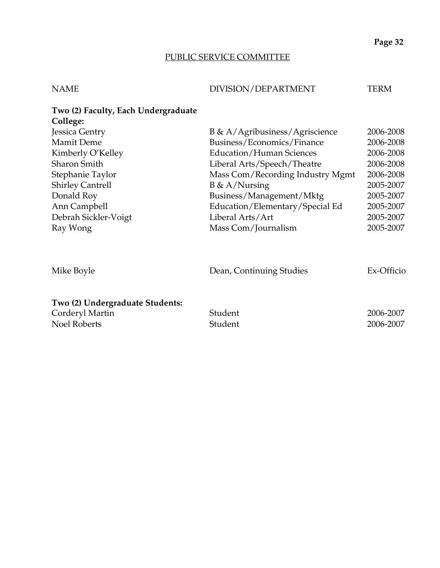# PUBLIC SERVICE COMMITTEE

# NAME DIVISION/DEPARTMENT TERM

| Two (2) Faculty, Each Undergraduate                                       |                                  |                        |
|---------------------------------------------------------------------------|----------------------------------|------------------------|
| College:                                                                  |                                  |                        |
| Jessica Gentry                                                            | B & A/Agribusiness/Agriscience   | 2006-2008              |
| <b>Mamit Deme</b>                                                         | Business/Economics/Finance       | 2006-2008              |
| Kimberly O'Kelley                                                         | Education/Human Sciences         | 2006-2008              |
| <b>Sharon Smith</b>                                                       | Liberal Arts/Speech/Theatre      | 2006-2008              |
| Stephanie Taylor                                                          | Mass Com/Recording Industry Mgmt | 2006-2008              |
| <b>Shirley Cantrell</b>                                                   | $B \& A/Nursing$                 | 2005-2007              |
| Donald Roy                                                                | Business/Management/Mktg         | 2005-2007              |
| Ann Campbell                                                              | Education/Elementary/Special Ed  | 2005-2007              |
| Debrah Sickler-Voigt                                                      | Liberal Arts/Art                 | 2005-2007              |
| Ray Wong                                                                  | Mass Com/Journalism              | 2005-2007              |
| Mike Boyle                                                                | Dean, Continuing Studies         | Ex-Officio             |
| Two (2) Undergraduate Students:<br>Corderyl Martin<br><b>Noel Roberts</b> | Student<br>Student               | 2006-2007<br>2006-2007 |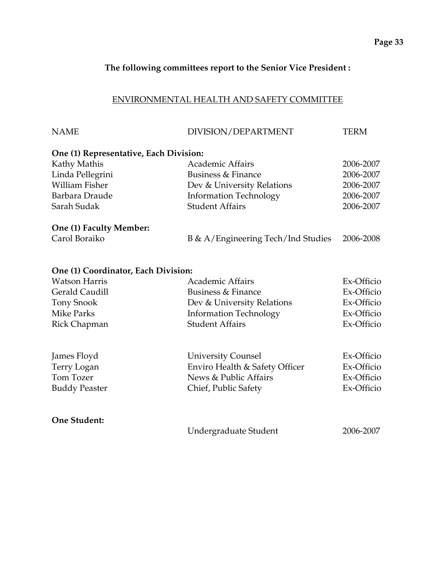## **The following committees report to the Senior Vice President :**

## ENVIRONMENTAL HEALTH AND SAFETY COMMITTEE

| <b>NAME</b>                            | DIVISION/DEPARTMENT                                         | <b>TERM</b> |
|----------------------------------------|-------------------------------------------------------------|-------------|
| One (1) Representative, Each Division: |                                                             |             |
| Kathy Mathis                           | <b>Academic Affairs</b>                                     | 2006-2007   |
| Linda Pellegrini                       | <b>Business &amp; Finance</b>                               | 2006-2007   |
| <b>William Fisher</b>                  | Dev & University Relations                                  | 2006-2007   |
| Barbara Draude                         | <b>Information Technology</b>                               | 2006-2007   |
| Sarah Sudak                            | <b>Student Affairs</b>                                      | 2006-2007   |
| One (1) Faculty Member:                |                                                             |             |
| Carol Boraiko                          | B & A/Engineering Tech/Ind Studies                          | 2006-2008   |
| One (1) Coordinator, Each Division:    |                                                             |             |
| <b>Watson Harris</b>                   | <b>Academic Affairs</b>                                     | Ex-Officio  |
| Gerald Caudill                         | <b>Business &amp; Finance</b>                               | Ex-Officio  |
| <b>Tony Snook</b>                      | Dev & University Relations                                  | Ex-Officio  |
| <b>Mike Parks</b>                      | <b>Information Technology</b>                               | Ex-Officio  |
| Rick Chapman                           | <b>Student Affairs</b>                                      | Ex-Officio  |
|                                        |                                                             | Ex-Officio  |
| James Floyd<br>Terry Logan             | <b>University Counsel</b><br>Enviro Health & Safety Officer | Ex-Officio  |
| Tom Tozer                              | News & Public Affairs                                       | Ex-Officio  |
| <b>Buddy Peaster</b>                   | Chief, Public Safety                                        | Ex-Officio  |
|                                        |                                                             |             |
| <b>One Student:</b>                    |                                                             |             |
|                                        | Undergraduate Student                                       | 2006-2007   |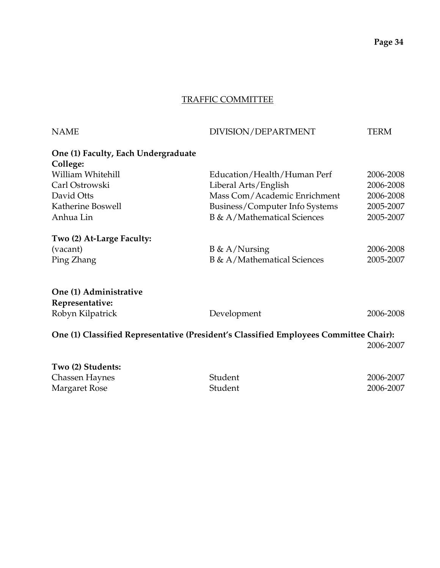# TRAFFIC COMMITTEE

| <b>NAME</b>                                                                           | DIVISION/DEPARTMENT            | <b>TERM</b> |
|---------------------------------------------------------------------------------------|--------------------------------|-------------|
| One (1) Faculty, Each Undergraduate<br>College:                                       |                                |             |
| William Whitehill                                                                     | Education/Health/Human Perf    | 2006-2008   |
| Carl Ostrowski                                                                        | Liberal Arts/English           | 2006-2008   |
| David Otts                                                                            | Mass Com/Academic Enrichment   | 2006-2008   |
| Katherine Boswell                                                                     | Business/Computer Info Systems | 2005-2007   |
| Anhua Lin                                                                             | B & A/Mathematical Sciences    | 2005-2007   |
| Two (2) At-Large Faculty:                                                             |                                |             |
| (vacant)                                                                              | $B \& A/Nursing$               | 2006-2008   |
| Ping Zhang                                                                            | B & A/Mathematical Sciences    | 2005-2007   |
| One (1) Administrative                                                                |                                |             |
| Representative:                                                                       |                                |             |
| Robyn Kilpatrick                                                                      | Development                    | 2006-2008   |
| One (1) Classified Representative (President's Classified Employees Committee Chair): |                                |             |
|                                                                                       |                                | 2006-2007   |
| Two (2) Students:                                                                     |                                |             |
| Chassan Haynos                                                                        | $C_{\text{tidon}}$             | 2006 2007   |

| $\sim$ $\sim$ $\sim$ $\sim$ $\sim$ $\sim$ $\sim$ |         |           |
|--------------------------------------------------|---------|-----------|
| Chassen Haynes                                   | Student | 2006-2007 |
| Margaret Rose                                    | Student | 2006-2007 |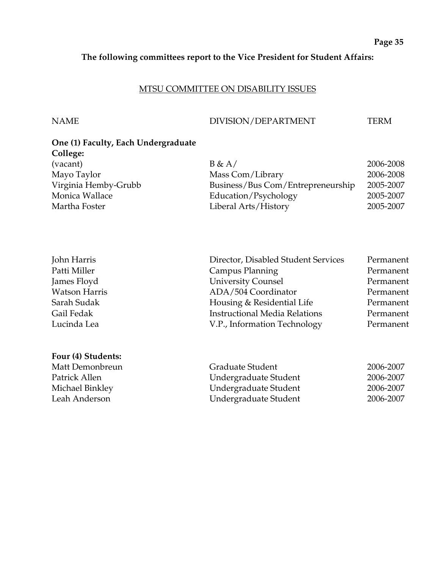## **The following committees report to the Vice President for Student Affairs:**

### MTSU COMMITTEE ON DISABILITY ISSUES

**Four (4) Students:** 

## NAME DIVISION/DEPARTMENT TERM

# **One (1) Faculty, Each Undergraduate College:**  Mayo Taylor Virginia Hemby-Grubb

| (vacant)             | B & A/                            | 2006-2008 |
|----------------------|-----------------------------------|-----------|
| Mayo Taylor          | Mass Com/Library                  | 2006-2008 |
| Virginia Hemby-Grubb | Business/Bus Com/Entrepreneurship | 2005-2007 |
| Monica Wallace       | Education/Psychology              | 2005-2007 |
| Martha Foster        | Liberal Arts/History              | 2005-2007 |

| Director, Disabled Student Services<br>John Harris | Permanent |
|----------------------------------------------------|-----------|
| Patti Miller<br>Campus Planning                    | Permanent |
| <b>University Counsel</b><br>James Floyd           | Permanent |
| <b>Watson Harris</b><br>ADA/504 Coordinator        | Permanent |
| Housing & Residential Life<br>Sarah Sudak          | Permanent |
| <b>Instructional Media Relations</b><br>Gail Fedak | Permanent |
| Lucinda Lea<br>V.P., Information Technology        | Permanent |

| Matt Demonbreun | Graduate Student      | 2006-2007 |
|-----------------|-----------------------|-----------|
| Patrick Allen   | Undergraduate Student | 2006-2007 |
| Michael Binkley | Undergraduate Student | 2006-2007 |
| Leah Anderson   | Undergraduate Student | 2006-2007 |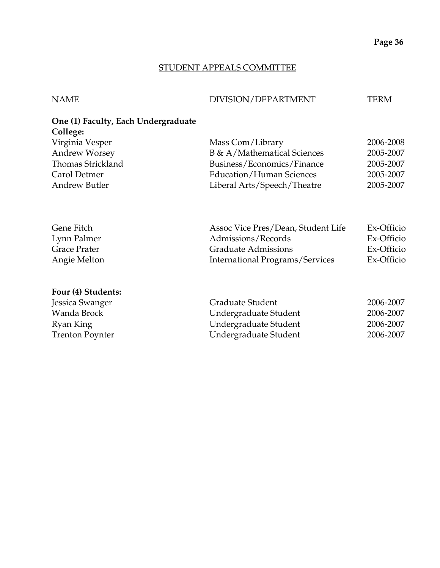### STUDENT APPEALS COMMITTEE

| <b>NAME</b>                                         | DIVISION/DEPARTMENT | TERM |
|-----------------------------------------------------|---------------------|------|
| One (1) Faculty, Each Undergraduate<br>$C_0$ llege: |                     |      |

| CONCE.               |                             |           |
|----------------------|-----------------------------|-----------|
| Virginia Vesper      | Mass Com/Library            | 2006-2008 |
| <b>Andrew Worsey</b> | B & A/Mathematical Sciences | 2005-2007 |
| Thomas Strickland    | Business/Economics/Finance  | 2005-2007 |
| Carol Detmer         | Education/Human Sciences    | 2005-2007 |
| <b>Andrew Butler</b> | Liberal Arts/Speech/Theatre | 2005-2007 |
|                      |                             |           |

| Ex-Officio |
|------------|
| Ex-Officio |
| Ex-Officio |
| Ex-Officio |
|            |

## **Four (4) Students:**

| Jessica Swanger        | Graduate Student      | 2006-2007 |
|------------------------|-----------------------|-----------|
| Wanda Brock            | Undergraduate Student | 2006-2007 |
| Ryan King              | Undergraduate Student | 2006-2007 |
| <b>Trenton Poynter</b> | Undergraduate Student | 2006-2007 |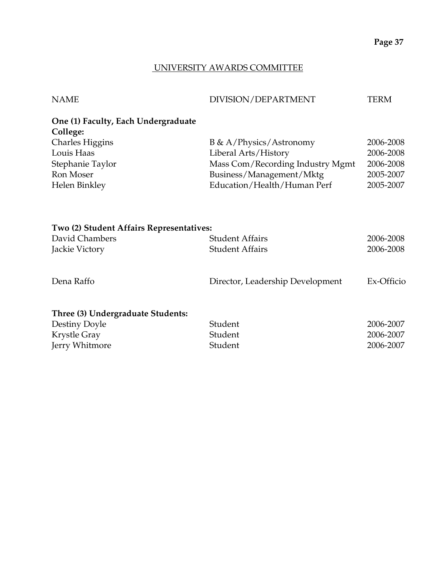## UNIVERSITY AWARDS COMMITTEE

| <b>NAME</b>                                     | DIVISION/DEPARTMENT              | TERM      |
|-------------------------------------------------|----------------------------------|-----------|
| One (1) Faculty, Each Undergraduate<br>College: |                                  |           |
| <b>Charles Higgins</b>                          | B & A/Physics/Astronomy          | 2006-2008 |
| Louis Haas                                      | Liberal Arts/History             | 2006-2008 |
| Stephanie Taylor                                | Mass Com/Recording Industry Mgmt | 2006-2008 |
| Ron Moser                                       | Business/Management/Mktg         | 2005-2007 |
| Helen Binkley                                   | Education/Health/Human Perf      | 2005-2007 |
|                                                 |                                  |           |

| Two (2) Student Affairs Representatives: |                                  |            |  |
|------------------------------------------|----------------------------------|------------|--|
| David Chambers                           | <b>Student Affairs</b>           | 2006-2008  |  |
| Jackie Victory                           | <b>Student Affairs</b>           | 2006-2008  |  |
| Dena Raffo                               | Director, Leadership Development | Ex-Officio |  |
| Three (3) Undergraduate Students:        |                                  |            |  |
| Destiny Doyle                            | Student                          | 2006-2007  |  |
| Krystle Gray                             | Student                          | 2006-2007  |  |
| Jerry Whitmore                           | Student                          | 2006-2007  |  |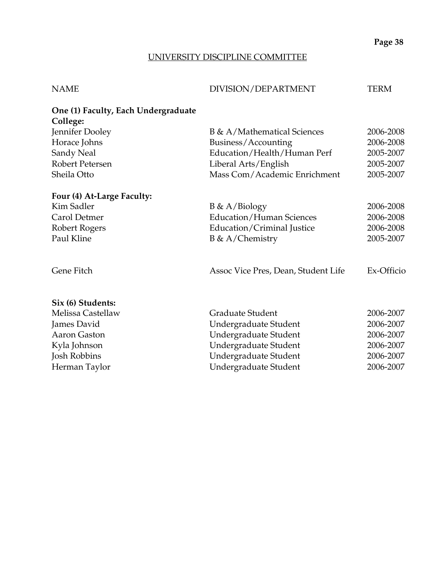### UNIVERSITY DISCIPLINE COMMITTEE

| <b>NAME</b> | DIVISION/DEPARTMENT | TERM |
|-------------|---------------------|------|

| One (1) Faculty, Each Undergraduate<br>College: |                                    |           |
|-------------------------------------------------|------------------------------------|-----------|
| Jennifer Dooley                                 | <b>B</b> & A/Mathematical Sciences | 2006-2008 |
|                                                 |                                    |           |
| Horace Johns                                    | Business/Accounting                | 2006-2008 |
| Sandy Neal                                      | Education/Health/Human Perf        | 2005-2007 |
| Robert Petersen                                 | Liberal Arts/English               | 2005-2007 |
| Sheila Otto                                     | Mass Com/Academic Enrichment       | 2005-2007 |
|                                                 |                                    |           |
| Four (4) At-Large Faculty:                      |                                    |           |

| Kim Sadler    | $B \& A/Biology$           | 2006-2008 |
|---------------|----------------------------|-----------|
| Carol Detmer  | Education/Human Sciences   | 2006-2008 |
| Robert Rogers | Education/Criminal Justice | 2006-2008 |
| Paul Kline    | $B \& A/Chemistry$         | 2005-2007 |
|               |                            |           |

Gene Fitch Assoc Vice Pres, Dean, Student Life Ex-Officio

### **Six (6) Students:**

| Melissa Castellaw | Graduate Student      | 2006-2007 |
|-------------------|-----------------------|-----------|
| James David       | Undergraduate Student | 2006-2007 |
| Aaron Gaston      | Undergraduate Student | 2006-2007 |
| Kyla Johnson      | Undergraduate Student | 2006-2007 |
| Josh Robbins      | Undergraduate Student | 2006-2007 |
| Herman Taylor     | Undergraduate Student | 2006-2007 |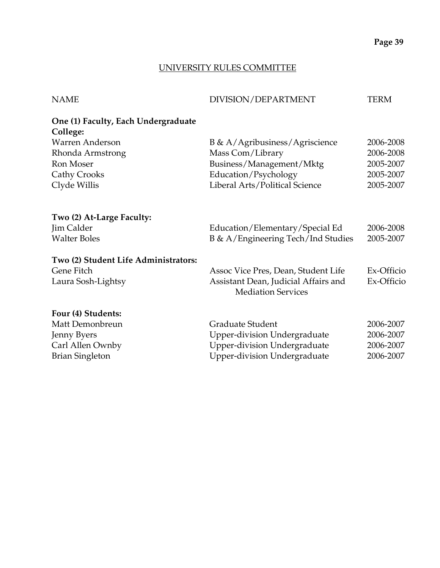## UNIVERSITY RULES COMMITTEE

| <b>NAME</b>                                     | DIVISION/DEPARTMENT                  | <b>TERM</b> |
|-------------------------------------------------|--------------------------------------|-------------|
| One (1) Faculty, Each Undergraduate<br>College: |                                      |             |
| Warren Anderson                                 | B & A/Agribusiness/Agriscience       | 2006-2008   |
| Rhonda Armstrong                                | Mass Com/Library                     | 2006-2008   |
| <b>Ron Moser</b>                                | Business/Management/Mktg             | 2005-2007   |
| <b>Cathy Crooks</b>                             | Education/Psychology                 | 2005-2007   |
| Clyde Willis                                    | Liberal Arts/Political Science       | 2005-2007   |
|                                                 |                                      |             |
| Two (2) At-Large Faculty:                       |                                      |             |
| Jim Calder                                      | Education/Elementary/Special Ed      | 2006-2008   |
| <b>Walter Boles</b>                             | B & A/Engineering Tech/Ind Studies   | 2005-2007   |
| Two (2) Student Life Administrators:            |                                      |             |
| Gene Fitch                                      | Assoc Vice Pres, Dean, Student Life  | Ex-Officio  |
| Laura Sosh-Lightsy                              | Assistant Dean, Judicial Affairs and | Ex-Officio  |
|                                                 | <b>Mediation Services</b>            |             |
| Four (4) Students:                              |                                      |             |
| Matt Demonbreun                                 | Graduate Student                     | 2006-2007   |
| <b>Jenny Byers</b>                              | Upper-division Undergraduate         | 2006-2007   |
| Carl Allen Ownby                                | <b>Upper-division Undergraduate</b>  | 2006-2007   |
| <b>Brian Singleton</b>                          | <b>Upper-division Undergraduate</b>  | 2006-2007   |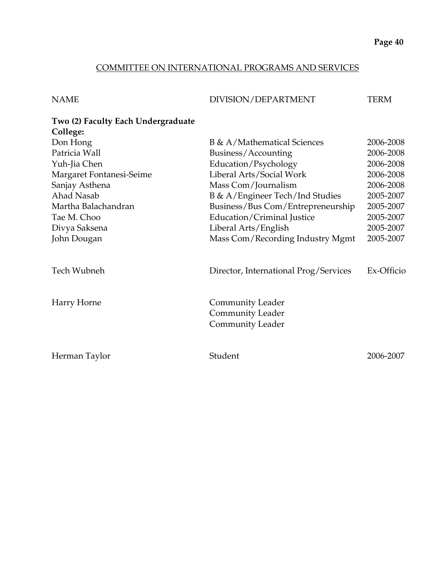## COMMITTEE ON INTERNATIONAL PROGRAMS AND SERVICES

| NAME | DIVISION/DEPARTMENT | TERM |
|------|---------------------|------|
|      |                     |      |

### **Two (2) Faculty Each Undergraduate College:**

| Don Hong                 | <b>B</b> & A/Mathematical Sciences                                            | 2006-2008  |
|--------------------------|-------------------------------------------------------------------------------|------------|
| Patricia Wall            | Business/Accounting                                                           | 2006-2008  |
| Yuh-Jia Chen             | Education/Psychology                                                          | 2006-2008  |
| Margaret Fontanesi-Seime | Liberal Arts/Social Work                                                      | 2006-2008  |
| Sanjay Asthena           | Mass Com/Journalism                                                           | 2006-2008  |
| Ahad Nasab               | B & A/Engineer Tech/Ind Studies                                               | 2005-2007  |
| Martha Balachandran      | Business/Bus Com/Entrepreneurship                                             | 2005-2007  |
| Tae M. Choo              | Education/Criminal Justice                                                    | 2005-2007  |
| Divya Saksena            | Liberal Arts/English                                                          | 2005-2007  |
| John Dougan              | Mass Com/Recording Industry Mgmt                                              | 2005-2007  |
| Tech Wubneh              | Director, International Prog/Services                                         | Ex-Officio |
| Harry Horne              | <b>Community Leader</b><br><b>Community Leader</b><br><b>Community Leader</b> |            |
| Herman Taylor            | Student                                                                       | 2006-2007  |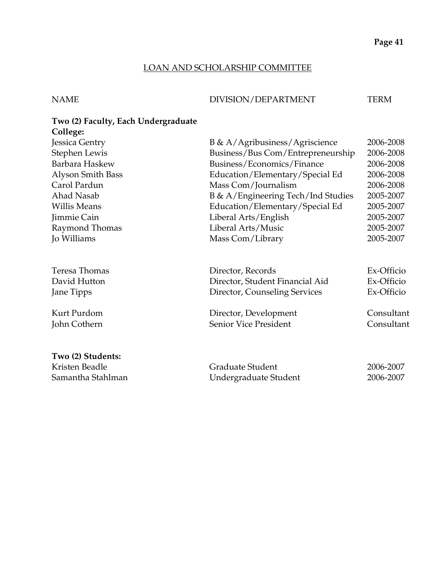### LOAN AND SCHOLARSHIP COMMITTEE

NAME DIVISION/DEPARTMENT TERM

# **Two (2) Faculty, Each Undergraduate College:**  Jessica Gentry B & A/Agribusiness/Agriscience 2006-2008 Stephen Lewis Business/Bus Com/Entrepreneurship 2006-2008 Barbara Haskew Business/Economics/Finance 2006-2008 Alyson Smith Bass Education/Elementary/Special Ed 2006-2008 Carol Pardun Mass Com/Journalism 2006-2008 Ahad Nasab B & A/Engineering Tech/Ind Studies 2005-2007 Willis Means **Education/Elementary/Special Ed** 2005-2007 Jimmie Cain Liberal Arts/English 2005-2007 Raymond Thomas **Liberal Arts/Music** 2005-2007 Jo Williams Mass Com/Library 2005-2007 Teresa Thomas Director, Records Ex-Officio David Hutton Director, Student Financial Aid Ex-Officio Jane Tipps Director, Counseling Services Ex-Officio Kurt Purdom **Director, Development** Consultant John Cothern Senior Vice President Consultant **Two (2) Students:**  Kristen Beadle Graduate Student 2006-2007 Samantha Stahlman Undergraduate Student 2006-2007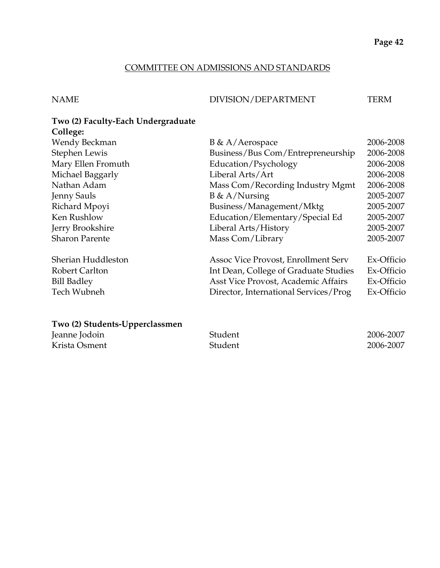## COMMITTEE ON ADMISSIONS AND STANDARDS

NAME DIVISION/DEPARTMENT TERM

## **Two (2) Faculty-Each Undergraduate College:**

| Wendy Beckman         | $B \& A/Aerospace$                    | 2006-2008  |
|-----------------------|---------------------------------------|------------|
| Stephen Lewis         | Business/Bus Com/Entrepreneurship     | 2006-2008  |
| Mary Ellen Fromuth    | Education/Psychology                  | 2006-2008  |
| Michael Baggarly      | Liberal Arts/Art                      | 2006-2008  |
| Nathan Adam           | Mass Com/Recording Industry Mgmt      | 2006-2008  |
| <b>Jenny Sauls</b>    | $B \& A/Nursing$                      | 2005-2007  |
| Richard Mpoyi         | Business/Management/Mktg              | 2005-2007  |
| Ken Rushlow           | Education/Elementary/Special Ed       | 2005-2007  |
| Jerry Brookshire      | Liberal Arts/History                  | 2005-2007  |
| <b>Sharon Parente</b> | Mass Com/Library                      | 2005-2007  |
| Sherian Huddleston    | Assoc Vice Provost, Enrollment Serv   | Ex-Officio |
| <b>Robert Carlton</b> | Int Dean, College of Graduate Studies | Ex-Officio |
| <b>Bill Badley</b>    | Asst Vice Provost, Academic Affairs   | Ex-Officio |
| Tech Wubneh           | Director, International Services/Prog | Ex-Officio |

## **Two (2) Students-Upperclassmen**

| Jeanne Jodoin | Student | 2006-2007 |
|---------------|---------|-----------|
| Krista Osment | Student | 2006-2007 |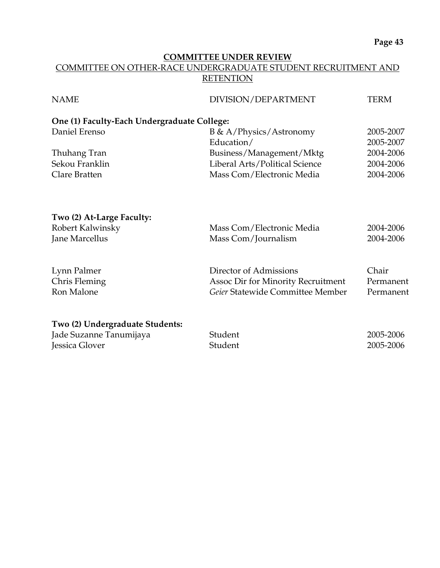### **COMMITTEE UNDER REVIEW** COMMITTEE ON OTHER-RACE UNDERGRADUATE STUDENT RECRUITMENT AND **RETENTION**

| DIVISION/DEPARTMENT                         | TERM                                                                                                                                                      |  |  |
|---------------------------------------------|-----------------------------------------------------------------------------------------------------------------------------------------------------------|--|--|
| One (1) Faculty-Each Undergraduate College: |                                                                                                                                                           |  |  |
| $B \& A / Physics / Astronomy$              | 2005-2007                                                                                                                                                 |  |  |
| Education/                                  | 2005-2007                                                                                                                                                 |  |  |
|                                             | 2004-2006                                                                                                                                                 |  |  |
| Liberal Arts/Political Science              | 2004-2006                                                                                                                                                 |  |  |
| Mass Com/Electronic Media                   | 2004-2006                                                                                                                                                 |  |  |
|                                             |                                                                                                                                                           |  |  |
|                                             |                                                                                                                                                           |  |  |
| Mass Com/Electronic Media                   | 2004-2006                                                                                                                                                 |  |  |
| Mass Com/Journalism                         | 2004-2006                                                                                                                                                 |  |  |
|                                             |                                                                                                                                                           |  |  |
|                                             | Chair                                                                                                                                                     |  |  |
|                                             | Permanent                                                                                                                                                 |  |  |
|                                             | Permanent                                                                                                                                                 |  |  |
|                                             |                                                                                                                                                           |  |  |
|                                             | 2005-2006                                                                                                                                                 |  |  |
|                                             | 2005-2006                                                                                                                                                 |  |  |
|                                             | Business/Management/Mktg<br>Director of Admissions<br><b>Assoc Dir for Minority Recruitment</b><br>Geier Statewide Committee Member<br>Student<br>Student |  |  |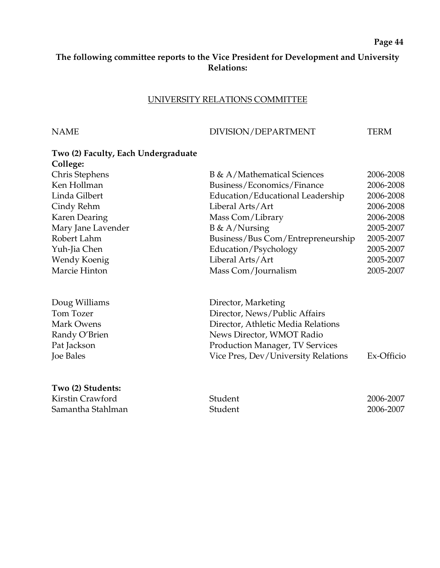### **The following committee reports to the Vice President for Development and University Relations:**

### UNIVERSITY RELATIONS COMMITTEE

### NAME DIVISION/DEPARTMENT TERM

# **Two (2) Faculty, Each Undergraduate College:**  Chris Stephens B & A/Mathematical Sciences 2006-2008 Ken Hollman Business/Economics/Finance 2006-2008 Linda Gilbert Education/Educational Leadership 2006-2008 Cindy Rehm Liberal Arts/Art 2006-2008 Karen Dearing Mass Com/Library 2006-2008 Mary Jane Lavender B & A/Nursing 2005-2007 Robert Lahm Business/Bus Com/Entrepreneurship 2005-2007 Yuh-Jia Chen Education/Psychology 2005-2007 Wendy Koenig Liberal Arts/Art 2005-2007 Marcie Hinton Mass Com/Journalism 2005-2007 Doug Williams **Director**, Marketing Tom Tozer **Director, News/Public Affairs** Mark Owens Director, Athletic Media Relations Randy O'Brien News Director, WMOT Radio Pat Jackson **Production Manager, TV Services** Joe Bales Vice Pres, Dev/University Relations Ex-Officio

**Two (2) Students:**  Kirstin Crawford **2006-2007** Student 2006-2007 Samantha Stahlman Student 2006-2007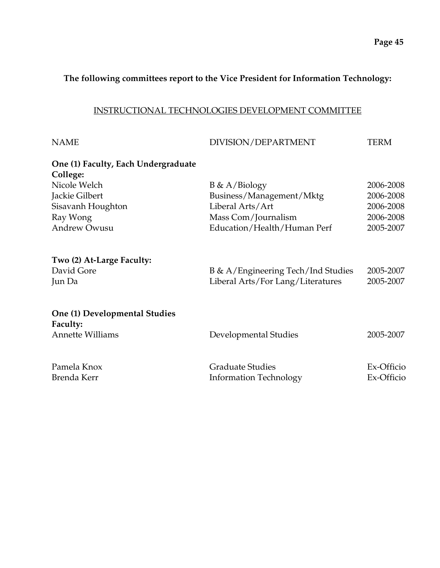## **The following committees report to the Vice President for Information Technology:**

### INSTRUCTIONAL TECHNOLOGIES DEVELOPMENT COMMITTEE

| <b>NAME</b>                                                          | DIVISION/DEPARTMENT                                                     | <b>TERM</b>              |
|----------------------------------------------------------------------|-------------------------------------------------------------------------|--------------------------|
| One (1) Faculty, Each Undergraduate<br>College:                      |                                                                         |                          |
| Nicole Welch                                                         | $B \& A/Biology$                                                        | 2006-2008                |
| Jackie Gilbert                                                       | Business/Management/Mktg                                                | 2006-2008                |
| Sisavanh Houghton                                                    | Liberal Arts/Art                                                        | 2006-2008                |
| Ray Wong                                                             | Mass Com/Journalism                                                     | 2006-2008                |
| <b>Andrew Owusu</b>                                                  | Education/Health/Human Perf                                             | 2005-2007                |
| Two (2) At-Large Faculty:<br>David Gore<br>Jun Da                    | B & A/Engineering Tech/Ind Studies<br>Liberal Arts/For Lang/Literatures | 2005-2007<br>2005-2007   |
| One (1) Developmental Studies<br>Faculty:<br><b>Annette Williams</b> | Developmental Studies                                                   | 2005-2007                |
| Pamela Knox<br>Brenda Kerr                                           | <b>Graduate Studies</b><br><b>Information Technology</b>                | Ex-Officio<br>Ex-Officio |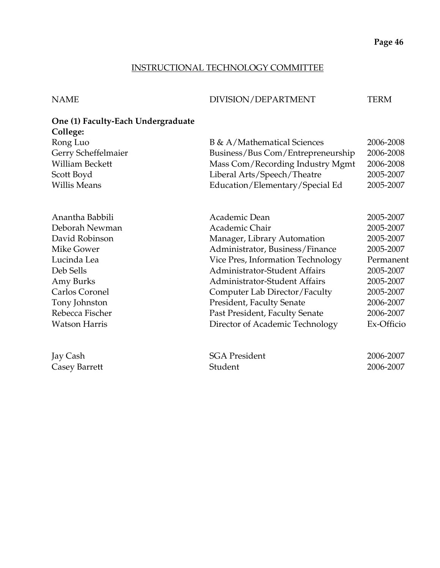## INSTRUCTIONAL TECHNOLOGY COMMITTEE

| NAME | DIVISION/DEPARTMENT | TERM |
|------|---------------------|------|
|      |                     |      |

## **One (1) Faculty-Each Undergraduate College:**

| Rong Luo               | <b>B</b> & A/Mathematical Sciences   | 2006-2008  |
|------------------------|--------------------------------------|------------|
| Gerry Scheffelmaier    | Business/Bus Com/Entrepreneurship    | 2006-2008  |
| <b>William Beckett</b> | Mass Com/Recording Industry Mgmt     | 2006-2008  |
| Scott Boyd             | Liberal Arts/Speech/Theatre          | 2005-2007  |
| <b>Willis Means</b>    | Education/Elementary/Special Ed      | 2005-2007  |
| Anantha Babbili        | Academic Dean                        | 2005-2007  |
| Deborah Newman         | Academic Chair                       | 2005-2007  |
| David Robinson         | Manager, Library Automation          | 2005-2007  |
| Mike Gower             | Administrator, Business/Finance      | 2005-2007  |
| Lucinda Lea            | Vice Pres, Information Technology    | Permanent  |
| Deb Sells              | <b>Administrator-Student Affairs</b> | 2005-2007  |
| Amy Burks              | Administrator-Student Affairs        | 2005-2007  |
| Carlos Coronel         | Computer Lab Director/Faculty        | 2005-2007  |
| Tony Johnston          | <b>President, Faculty Senate</b>     | 2006-2007  |
| Rebecca Fischer        | Past President, Faculty Senate       | 2006-2007  |
| <b>Watson Harris</b>   | Director of Academic Technology      | Ex-Officio |
| Jay Cash               | <b>SGA President</b>                 | 2006-2007  |
| Casey Barrett          | Student                              | 2006-2007  |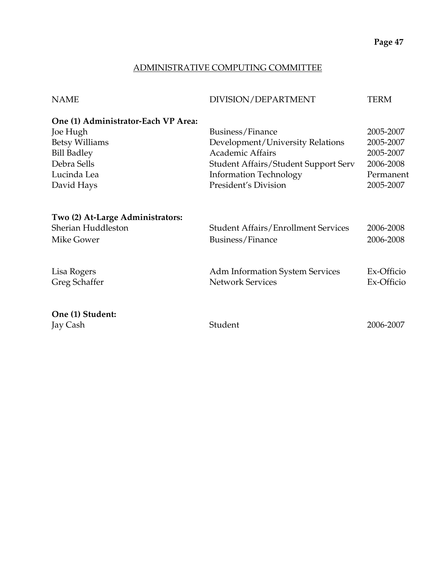## ADMINISTRATIVE COMPUTING COMMITTEE

| <b>NAME</b>                         | DIVISION/DEPARTMENT                         | <b>TERM</b> |
|-------------------------------------|---------------------------------------------|-------------|
| One (1) Administrator-Each VP Area: |                                             |             |
| Joe Hugh                            | Business/Finance                            | 2005-2007   |
| <b>Betsy Williams</b>               | Development/University Relations            | 2005-2007   |
| <b>Bill Badley</b>                  | <b>Academic Affairs</b>                     | 2005-2007   |
| Debra Sells                         | <b>Student Affairs/Student Support Serv</b> | 2006-2008   |
| Lucinda Lea                         | <b>Information Technology</b>               | Permanent   |
| David Hays                          | President's Division                        | 2005-2007   |
| Two (2) At-Large Administrators:    |                                             |             |
| Sherian Huddleston                  | <b>Student Affairs/Enrollment Services</b>  | 2006-2008   |
| Mike Gower                          | Business/Finance                            | 2006-2008   |
| Lisa Rogers                         | <b>Adm Information System Services</b>      | Ex-Officio  |
| Greg Schaffer                       | <b>Network Services</b>                     | Ex-Officio  |
| One (1) Student:                    |                                             |             |
| Jay Cash                            | Student                                     | 2006-2007   |